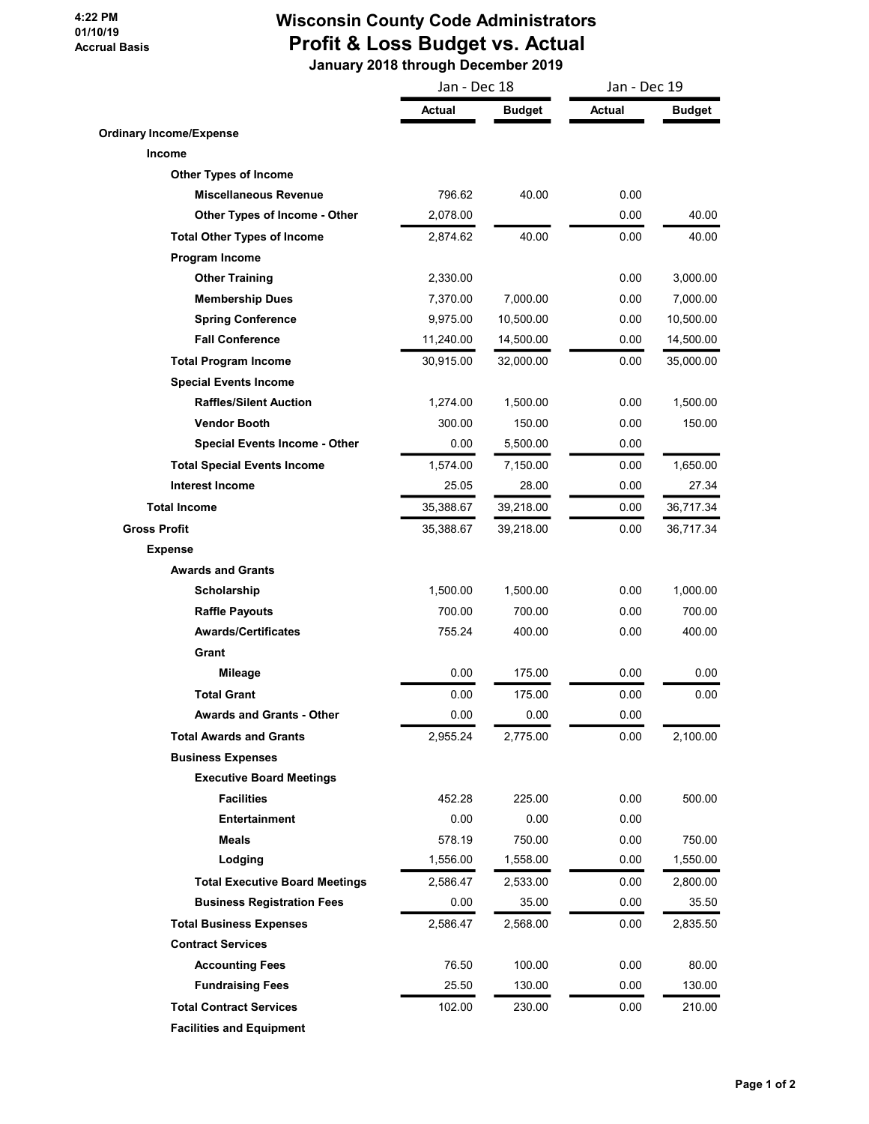## 4:22 PM 01/10/19 Accrual Basis

## Wisconsin County Code Administrators Profit & Loss Budget vs. Actual January 2018 through December 2019

| Actual<br><b>Budget</b><br><b>Actual</b><br><b>Ordinary Income/Expense</b><br>Income<br><b>Other Types of Income</b><br><b>Miscellaneous Revenue</b><br>796.62<br>40.00<br>0.00<br>0.00<br>Other Types of Income - Other<br>2,078.00<br><b>Total Other Types of Income</b><br>40.00<br>0.00<br>2,874.62<br>Program Income<br><b>Other Training</b><br>2,330.00<br>0.00<br><b>Membership Dues</b><br>7,000.00<br>0.00<br>7,370.00<br><b>Spring Conference</b><br>9,975.00<br>10,500.00<br>0.00<br><b>Fall Conference</b><br>0.00<br>11,240.00<br>14,500.00<br><b>Total Program Income</b><br>30,915.00<br>32,000.00<br>0.00<br><b>Special Events Income</b><br><b>Raffles/Silent Auction</b><br>1,274.00<br>1,500.00<br>0.00<br><b>Vendor Booth</b><br>300.00<br>150.00<br>0.00<br><b>Special Events Income - Other</b><br>0.00<br>0.00<br>5,500.00<br><b>Total Special Events Income</b><br>1,574.00<br>7,150.00<br>0.00<br><b>Interest Income</b><br>25.05<br>28.00<br>0.00<br><b>Total Income</b><br>35,388.67<br>39,218.00<br>0.00<br><b>Gross Profit</b><br>0.00<br>35,388.67<br>39,218.00<br><b>Expense</b><br><b>Awards and Grants</b><br>0.00<br>Scholarship<br>1,500.00<br>1,500.00<br><b>Raffle Payouts</b><br>700.00<br>700.00<br>0.00<br><b>Awards/Certificates</b><br>755.24<br>400.00<br>0.00<br>Grant<br>Mileage<br>0.00<br>175.00<br>0.00<br><b>Total Grant</b><br>0.00<br>175.00<br>0.00<br>0.00<br>0.00<br>Awards and Grants - Other<br>0.00<br>0.00<br><b>Total Awards and Grants</b><br>2,955.24<br>2,775.00<br><b>Business Expenses</b><br><b>Executive Board Meetings</b><br><b>Facilities</b><br>452.28<br>225.00<br>0.00<br>0.00<br><b>Entertainment</b><br>0.00<br>0.00<br>Meals<br>578.19<br>750.00<br>0.00<br>Lodging<br>1,556.00<br>0.00<br>1,558.00<br><b>Total Executive Board Meetings</b><br>2,586.47<br>0.00<br>2,533.00<br><b>Business Registration Fees</b><br>35.00<br>0.00<br>0.00<br>0.00<br><b>Total Business Expenses</b><br>2,586.47<br>2,568.00<br><b>Contract Services</b><br><b>Accounting Fees</b><br>76.50<br>100.00<br>0.00<br><b>Fundraising Fees</b><br>25.50<br>130.00<br>0.00 |                                | Jan - Dec 18 |        | Jan - Dec 19 |               |
|---------------------------------------------------------------------------------------------------------------------------------------------------------------------------------------------------------------------------------------------------------------------------------------------------------------------------------------------------------------------------------------------------------------------------------------------------------------------------------------------------------------------------------------------------------------------------------------------------------------------------------------------------------------------------------------------------------------------------------------------------------------------------------------------------------------------------------------------------------------------------------------------------------------------------------------------------------------------------------------------------------------------------------------------------------------------------------------------------------------------------------------------------------------------------------------------------------------------------------------------------------------------------------------------------------------------------------------------------------------------------------------------------------------------------------------------------------------------------------------------------------------------------------------------------------------------------------------------------------------------------------------------------------------------------------------------------------------------------------------------------------------------------------------------------------------------------------------------------------------------------------------------------------------------------------------------------------------------------------------------------------------------------------------------------------------------------------------------------------------------------------|--------------------------------|--------------|--------|--------------|---------------|
|                                                                                                                                                                                                                                                                                                                                                                                                                                                                                                                                                                                                                                                                                                                                                                                                                                                                                                                                                                                                                                                                                                                                                                                                                                                                                                                                                                                                                                                                                                                                                                                                                                                                                                                                                                                                                                                                                                                                                                                                                                                                                                                                 |                                |              |        |              | <b>Budget</b> |
|                                                                                                                                                                                                                                                                                                                                                                                                                                                                                                                                                                                                                                                                                                                                                                                                                                                                                                                                                                                                                                                                                                                                                                                                                                                                                                                                                                                                                                                                                                                                                                                                                                                                                                                                                                                                                                                                                                                                                                                                                                                                                                                                 |                                |              |        |              |               |
|                                                                                                                                                                                                                                                                                                                                                                                                                                                                                                                                                                                                                                                                                                                                                                                                                                                                                                                                                                                                                                                                                                                                                                                                                                                                                                                                                                                                                                                                                                                                                                                                                                                                                                                                                                                                                                                                                                                                                                                                                                                                                                                                 |                                |              |        |              |               |
|                                                                                                                                                                                                                                                                                                                                                                                                                                                                                                                                                                                                                                                                                                                                                                                                                                                                                                                                                                                                                                                                                                                                                                                                                                                                                                                                                                                                                                                                                                                                                                                                                                                                                                                                                                                                                                                                                                                                                                                                                                                                                                                                 |                                |              |        |              |               |
|                                                                                                                                                                                                                                                                                                                                                                                                                                                                                                                                                                                                                                                                                                                                                                                                                                                                                                                                                                                                                                                                                                                                                                                                                                                                                                                                                                                                                                                                                                                                                                                                                                                                                                                                                                                                                                                                                                                                                                                                                                                                                                                                 |                                |              |        |              |               |
|                                                                                                                                                                                                                                                                                                                                                                                                                                                                                                                                                                                                                                                                                                                                                                                                                                                                                                                                                                                                                                                                                                                                                                                                                                                                                                                                                                                                                                                                                                                                                                                                                                                                                                                                                                                                                                                                                                                                                                                                                                                                                                                                 |                                |              |        |              | 40.00         |
|                                                                                                                                                                                                                                                                                                                                                                                                                                                                                                                                                                                                                                                                                                                                                                                                                                                                                                                                                                                                                                                                                                                                                                                                                                                                                                                                                                                                                                                                                                                                                                                                                                                                                                                                                                                                                                                                                                                                                                                                                                                                                                                                 |                                |              |        |              | 40.00         |
|                                                                                                                                                                                                                                                                                                                                                                                                                                                                                                                                                                                                                                                                                                                                                                                                                                                                                                                                                                                                                                                                                                                                                                                                                                                                                                                                                                                                                                                                                                                                                                                                                                                                                                                                                                                                                                                                                                                                                                                                                                                                                                                                 |                                |              |        |              |               |
|                                                                                                                                                                                                                                                                                                                                                                                                                                                                                                                                                                                                                                                                                                                                                                                                                                                                                                                                                                                                                                                                                                                                                                                                                                                                                                                                                                                                                                                                                                                                                                                                                                                                                                                                                                                                                                                                                                                                                                                                                                                                                                                                 |                                |              |        |              | 3,000.00      |
|                                                                                                                                                                                                                                                                                                                                                                                                                                                                                                                                                                                                                                                                                                                                                                                                                                                                                                                                                                                                                                                                                                                                                                                                                                                                                                                                                                                                                                                                                                                                                                                                                                                                                                                                                                                                                                                                                                                                                                                                                                                                                                                                 |                                |              |        |              | 7,000.00      |
|                                                                                                                                                                                                                                                                                                                                                                                                                                                                                                                                                                                                                                                                                                                                                                                                                                                                                                                                                                                                                                                                                                                                                                                                                                                                                                                                                                                                                                                                                                                                                                                                                                                                                                                                                                                                                                                                                                                                                                                                                                                                                                                                 |                                |              |        |              | 10,500.00     |
|                                                                                                                                                                                                                                                                                                                                                                                                                                                                                                                                                                                                                                                                                                                                                                                                                                                                                                                                                                                                                                                                                                                                                                                                                                                                                                                                                                                                                                                                                                                                                                                                                                                                                                                                                                                                                                                                                                                                                                                                                                                                                                                                 |                                |              |        |              | 14,500.00     |
|                                                                                                                                                                                                                                                                                                                                                                                                                                                                                                                                                                                                                                                                                                                                                                                                                                                                                                                                                                                                                                                                                                                                                                                                                                                                                                                                                                                                                                                                                                                                                                                                                                                                                                                                                                                                                                                                                                                                                                                                                                                                                                                                 |                                |              |        |              | 35,000.00     |
|                                                                                                                                                                                                                                                                                                                                                                                                                                                                                                                                                                                                                                                                                                                                                                                                                                                                                                                                                                                                                                                                                                                                                                                                                                                                                                                                                                                                                                                                                                                                                                                                                                                                                                                                                                                                                                                                                                                                                                                                                                                                                                                                 |                                |              |        |              |               |
|                                                                                                                                                                                                                                                                                                                                                                                                                                                                                                                                                                                                                                                                                                                                                                                                                                                                                                                                                                                                                                                                                                                                                                                                                                                                                                                                                                                                                                                                                                                                                                                                                                                                                                                                                                                                                                                                                                                                                                                                                                                                                                                                 |                                |              |        |              | 1,500.00      |
|                                                                                                                                                                                                                                                                                                                                                                                                                                                                                                                                                                                                                                                                                                                                                                                                                                                                                                                                                                                                                                                                                                                                                                                                                                                                                                                                                                                                                                                                                                                                                                                                                                                                                                                                                                                                                                                                                                                                                                                                                                                                                                                                 |                                |              |        |              | 150.00        |
|                                                                                                                                                                                                                                                                                                                                                                                                                                                                                                                                                                                                                                                                                                                                                                                                                                                                                                                                                                                                                                                                                                                                                                                                                                                                                                                                                                                                                                                                                                                                                                                                                                                                                                                                                                                                                                                                                                                                                                                                                                                                                                                                 |                                |              |        |              |               |
|                                                                                                                                                                                                                                                                                                                                                                                                                                                                                                                                                                                                                                                                                                                                                                                                                                                                                                                                                                                                                                                                                                                                                                                                                                                                                                                                                                                                                                                                                                                                                                                                                                                                                                                                                                                                                                                                                                                                                                                                                                                                                                                                 |                                |              |        |              | 1,650.00      |
|                                                                                                                                                                                                                                                                                                                                                                                                                                                                                                                                                                                                                                                                                                                                                                                                                                                                                                                                                                                                                                                                                                                                                                                                                                                                                                                                                                                                                                                                                                                                                                                                                                                                                                                                                                                                                                                                                                                                                                                                                                                                                                                                 |                                |              |        |              | 27.34         |
|                                                                                                                                                                                                                                                                                                                                                                                                                                                                                                                                                                                                                                                                                                                                                                                                                                                                                                                                                                                                                                                                                                                                                                                                                                                                                                                                                                                                                                                                                                                                                                                                                                                                                                                                                                                                                                                                                                                                                                                                                                                                                                                                 |                                |              |        |              | 36,717.34     |
|                                                                                                                                                                                                                                                                                                                                                                                                                                                                                                                                                                                                                                                                                                                                                                                                                                                                                                                                                                                                                                                                                                                                                                                                                                                                                                                                                                                                                                                                                                                                                                                                                                                                                                                                                                                                                                                                                                                                                                                                                                                                                                                                 |                                |              |        |              | 36,717.34     |
|                                                                                                                                                                                                                                                                                                                                                                                                                                                                                                                                                                                                                                                                                                                                                                                                                                                                                                                                                                                                                                                                                                                                                                                                                                                                                                                                                                                                                                                                                                                                                                                                                                                                                                                                                                                                                                                                                                                                                                                                                                                                                                                                 |                                |              |        |              |               |
|                                                                                                                                                                                                                                                                                                                                                                                                                                                                                                                                                                                                                                                                                                                                                                                                                                                                                                                                                                                                                                                                                                                                                                                                                                                                                                                                                                                                                                                                                                                                                                                                                                                                                                                                                                                                                                                                                                                                                                                                                                                                                                                                 |                                |              |        |              |               |
|                                                                                                                                                                                                                                                                                                                                                                                                                                                                                                                                                                                                                                                                                                                                                                                                                                                                                                                                                                                                                                                                                                                                                                                                                                                                                                                                                                                                                                                                                                                                                                                                                                                                                                                                                                                                                                                                                                                                                                                                                                                                                                                                 |                                |              |        |              | 1,000.00      |
|                                                                                                                                                                                                                                                                                                                                                                                                                                                                                                                                                                                                                                                                                                                                                                                                                                                                                                                                                                                                                                                                                                                                                                                                                                                                                                                                                                                                                                                                                                                                                                                                                                                                                                                                                                                                                                                                                                                                                                                                                                                                                                                                 |                                |              |        |              | 700.00        |
|                                                                                                                                                                                                                                                                                                                                                                                                                                                                                                                                                                                                                                                                                                                                                                                                                                                                                                                                                                                                                                                                                                                                                                                                                                                                                                                                                                                                                                                                                                                                                                                                                                                                                                                                                                                                                                                                                                                                                                                                                                                                                                                                 |                                |              |        |              | 400.00        |
|                                                                                                                                                                                                                                                                                                                                                                                                                                                                                                                                                                                                                                                                                                                                                                                                                                                                                                                                                                                                                                                                                                                                                                                                                                                                                                                                                                                                                                                                                                                                                                                                                                                                                                                                                                                                                                                                                                                                                                                                                                                                                                                                 |                                |              |        |              |               |
|                                                                                                                                                                                                                                                                                                                                                                                                                                                                                                                                                                                                                                                                                                                                                                                                                                                                                                                                                                                                                                                                                                                                                                                                                                                                                                                                                                                                                                                                                                                                                                                                                                                                                                                                                                                                                                                                                                                                                                                                                                                                                                                                 |                                |              |        |              | 0.00          |
|                                                                                                                                                                                                                                                                                                                                                                                                                                                                                                                                                                                                                                                                                                                                                                                                                                                                                                                                                                                                                                                                                                                                                                                                                                                                                                                                                                                                                                                                                                                                                                                                                                                                                                                                                                                                                                                                                                                                                                                                                                                                                                                                 |                                |              |        |              | 0.00          |
|                                                                                                                                                                                                                                                                                                                                                                                                                                                                                                                                                                                                                                                                                                                                                                                                                                                                                                                                                                                                                                                                                                                                                                                                                                                                                                                                                                                                                                                                                                                                                                                                                                                                                                                                                                                                                                                                                                                                                                                                                                                                                                                                 |                                |              |        |              |               |
|                                                                                                                                                                                                                                                                                                                                                                                                                                                                                                                                                                                                                                                                                                                                                                                                                                                                                                                                                                                                                                                                                                                                                                                                                                                                                                                                                                                                                                                                                                                                                                                                                                                                                                                                                                                                                                                                                                                                                                                                                                                                                                                                 |                                |              |        |              | 2,100.00      |
|                                                                                                                                                                                                                                                                                                                                                                                                                                                                                                                                                                                                                                                                                                                                                                                                                                                                                                                                                                                                                                                                                                                                                                                                                                                                                                                                                                                                                                                                                                                                                                                                                                                                                                                                                                                                                                                                                                                                                                                                                                                                                                                                 |                                |              |        |              |               |
|                                                                                                                                                                                                                                                                                                                                                                                                                                                                                                                                                                                                                                                                                                                                                                                                                                                                                                                                                                                                                                                                                                                                                                                                                                                                                                                                                                                                                                                                                                                                                                                                                                                                                                                                                                                                                                                                                                                                                                                                                                                                                                                                 |                                |              |        |              |               |
|                                                                                                                                                                                                                                                                                                                                                                                                                                                                                                                                                                                                                                                                                                                                                                                                                                                                                                                                                                                                                                                                                                                                                                                                                                                                                                                                                                                                                                                                                                                                                                                                                                                                                                                                                                                                                                                                                                                                                                                                                                                                                                                                 |                                |              |        |              | 500.00        |
|                                                                                                                                                                                                                                                                                                                                                                                                                                                                                                                                                                                                                                                                                                                                                                                                                                                                                                                                                                                                                                                                                                                                                                                                                                                                                                                                                                                                                                                                                                                                                                                                                                                                                                                                                                                                                                                                                                                                                                                                                                                                                                                                 |                                |              |        |              |               |
|                                                                                                                                                                                                                                                                                                                                                                                                                                                                                                                                                                                                                                                                                                                                                                                                                                                                                                                                                                                                                                                                                                                                                                                                                                                                                                                                                                                                                                                                                                                                                                                                                                                                                                                                                                                                                                                                                                                                                                                                                                                                                                                                 |                                |              |        |              | 750.00        |
|                                                                                                                                                                                                                                                                                                                                                                                                                                                                                                                                                                                                                                                                                                                                                                                                                                                                                                                                                                                                                                                                                                                                                                                                                                                                                                                                                                                                                                                                                                                                                                                                                                                                                                                                                                                                                                                                                                                                                                                                                                                                                                                                 |                                |              |        |              | 1,550.00      |
|                                                                                                                                                                                                                                                                                                                                                                                                                                                                                                                                                                                                                                                                                                                                                                                                                                                                                                                                                                                                                                                                                                                                                                                                                                                                                                                                                                                                                                                                                                                                                                                                                                                                                                                                                                                                                                                                                                                                                                                                                                                                                                                                 |                                |              |        |              | 2,800.00      |
|                                                                                                                                                                                                                                                                                                                                                                                                                                                                                                                                                                                                                                                                                                                                                                                                                                                                                                                                                                                                                                                                                                                                                                                                                                                                                                                                                                                                                                                                                                                                                                                                                                                                                                                                                                                                                                                                                                                                                                                                                                                                                                                                 |                                |              |        |              | 35.50         |
|                                                                                                                                                                                                                                                                                                                                                                                                                                                                                                                                                                                                                                                                                                                                                                                                                                                                                                                                                                                                                                                                                                                                                                                                                                                                                                                                                                                                                                                                                                                                                                                                                                                                                                                                                                                                                                                                                                                                                                                                                                                                                                                                 |                                |              |        |              | 2,835.50      |
|                                                                                                                                                                                                                                                                                                                                                                                                                                                                                                                                                                                                                                                                                                                                                                                                                                                                                                                                                                                                                                                                                                                                                                                                                                                                                                                                                                                                                                                                                                                                                                                                                                                                                                                                                                                                                                                                                                                                                                                                                                                                                                                                 |                                |              |        |              |               |
|                                                                                                                                                                                                                                                                                                                                                                                                                                                                                                                                                                                                                                                                                                                                                                                                                                                                                                                                                                                                                                                                                                                                                                                                                                                                                                                                                                                                                                                                                                                                                                                                                                                                                                                                                                                                                                                                                                                                                                                                                                                                                                                                 |                                |              |        |              | 80.00         |
|                                                                                                                                                                                                                                                                                                                                                                                                                                                                                                                                                                                                                                                                                                                                                                                                                                                                                                                                                                                                                                                                                                                                                                                                                                                                                                                                                                                                                                                                                                                                                                                                                                                                                                                                                                                                                                                                                                                                                                                                                                                                                                                                 |                                |              |        |              | 130.00        |
|                                                                                                                                                                                                                                                                                                                                                                                                                                                                                                                                                                                                                                                                                                                                                                                                                                                                                                                                                                                                                                                                                                                                                                                                                                                                                                                                                                                                                                                                                                                                                                                                                                                                                                                                                                                                                                                                                                                                                                                                                                                                                                                                 | <b>Total Contract Services</b> | 102.00       | 230.00 | 0.00         | 210.00        |
| <b>Facilities and Equipment</b>                                                                                                                                                                                                                                                                                                                                                                                                                                                                                                                                                                                                                                                                                                                                                                                                                                                                                                                                                                                                                                                                                                                                                                                                                                                                                                                                                                                                                                                                                                                                                                                                                                                                                                                                                                                                                                                                                                                                                                                                                                                                                                 |                                |              |        |              |               |